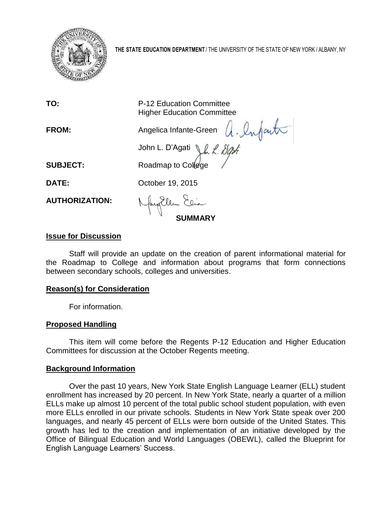

**THE STATE EDUCATION DEPARTMENT** / THE UNIVERSITY OF THE STATE OF NEW YORK / ALBANY, NY

| TO: | <b>P-12 Education Committee</b>   |
|-----|-----------------------------------|
|     | <b>Higher Education Committee</b> |
|     |                                   |

John L. D'Agati Jh L. Dight

**FROM:** Angelica Infante-Green A. Infanta

**SUBJECT:** Roadmap to College

**DATE: October 19, 2015** 

**AUTHORIZATION:**

**SUMMARY**

## **Issue for Discussion**

Staff will provide an update on the creation of parent informational material for the Roadmap to College and information about programs that form connections between secondary schools, colleges and universities.

## **Reason(s) for Consideration**

For information.

## **Proposed Handling**

This item will come before the Regents P-12 Education and Higher Education Committees for discussion at the October Regents meeting.

## **Background Information**

Over the past 10 years, New York State English Language Learner (ELL) student enrollment has increased by 20 percent. In New York State, nearly a quarter of a million ELLs make up almost 10 percent of the total public school student population, with even more ELLs enrolled in our private schools. Students in New York State speak over 200 languages, and nearly 45 percent of ELLs were born outside of the United States. This growth has led to the creation and implementation of an initiative developed by the Office of Bilingual Education and World Languages (OBEWL), called the Blueprint for English Language Learners' Success.